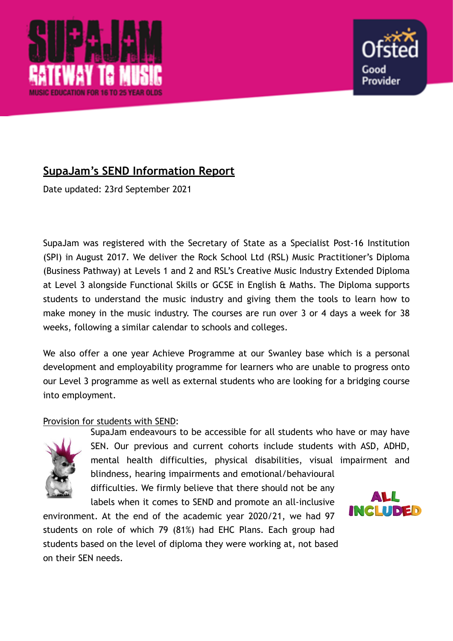



# **SupaJam's SEND Information Report**

Date updated: 23rd September 2021

SupaJam was registered with the Secretary of State as a Specialist Post-16 Institution (SPI) in August 2017. We deliver the Rock School Ltd (RSL) Music Practitioner's Diploma (Business Pathway) at Levels 1 and 2 and RSL's Creative Music Industry Extended Diploma at Level 3 alongside Functional Skills or GCSE in English & Maths. The Diploma supports students to understand the music industry and giving them the tools to learn how to make money in the music industry. The courses are run over 3 or 4 days a week for 38 weeks, following a similar calendar to schools and colleges.

We also offer a one year Achieve Programme at our Swanley base which is a personal development and employability programme for learners who are unable to progress onto our Level 3 programme as well as external students who are looking for a bridging course into employment.

# Provision for students with SEND:



SupaJam endeavours to be accessible for all students who have or may have SEN. Our previous and current cohorts include students with ASD, ADHD, mental health difficulties, physical disabilities, visual impairment and blindness, hearing impairments and emotional/behavioural difficulties. We firmly believe that there should not be any ALL labels when it comes to SEND and promote an all-inclusive

environment. At the end of the academic year 2020/21, we had 97 students on role of which 79 (81%) had EHC Plans. Each group had students based on the level of diploma they were working at, not based on their SEN needs.

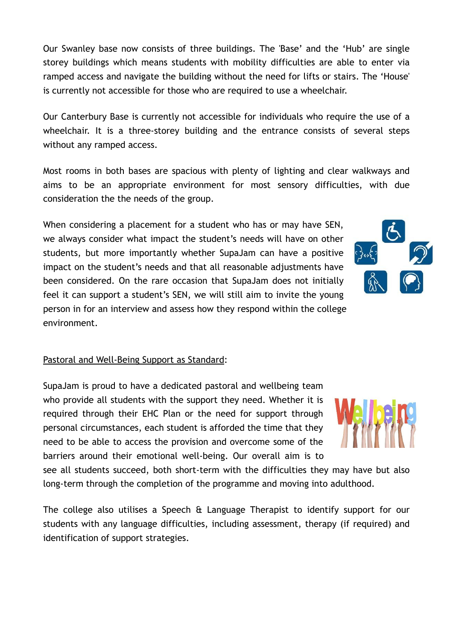Our Swanley base now consists of three buildings. The 'Base' and the 'Hub' are single storey buildings which means students with mobility difficulties are able to enter via ramped access and navigate the building without the need for lifts or stairs. The 'House' is currently not accessible for those who are required to use a wheelchair.

Our Canterbury Base is currently not accessible for individuals who require the use of a wheelchair. It is a three-storey building and the entrance consists of several steps without any ramped access.

Most rooms in both bases are spacious with plenty of lighting and clear walkways and aims to be an appropriate environment for most sensory difficulties, with due consideration the the needs of the group.

When considering a placement for a student who has or may have SEN, we always consider what impact the student's needs will have on other students, but more importantly whether SupaJam can have a positive impact on the student's needs and that all reasonable adjustments have been considered. On the rare occasion that SupaJam does not initially feel it can support a student's SEN, we will still aim to invite the young person in for an interview and assess how they respond within the college environment.

# Pastoral and Well-Being Support as Standard:

SupaJam is proud to have a dedicated pastoral and wellbeing team who provide all students with the support they need. Whether it is required through their EHC Plan or the need for support through personal circumstances, each student is afforded the time that they need to be able to access the provision and overcome some of the barriers around their emotional well-being. Our overall aim is to

see all students succeed, both short-term with the difficulties they may have but also long-term through the completion of the programme and moving into adulthood.

The college also utilises a Speech & Language Therapist to identify support for our students with any language difficulties, including assessment, therapy (if required) and identification of support strategies.



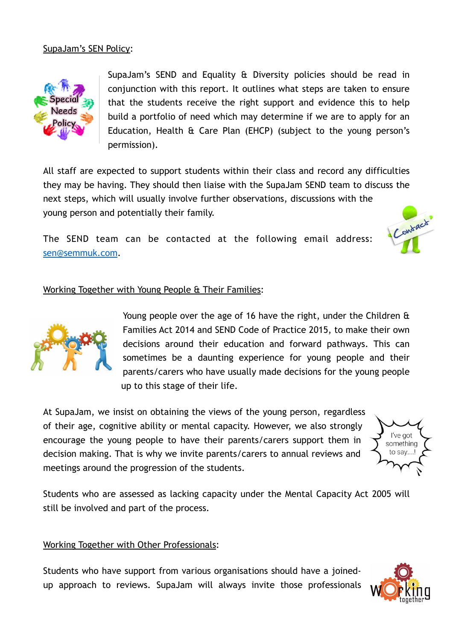

SupaJam's SEND and Equality & Diversity policies should be read in conjunction with this report. It outlines what steps are taken to ensure that the students receive the right support and evidence this to help build a portfolio of need which may determine if we are to apply for an Education, Health & Care Plan (EHCP) (subject to the young person's permission).

All staff are expected to support students within their class and record any difficulties they may be having. They should then liaise with the SupaJam SEND team to discuss the next steps, which will usually involve further observations, discussions with the young person and potentially their family. Contract

The SEND team can be contacted at the following email address: [sen@semmuk.com.](mailto:sen@semmuk.com)





Young people over the age of 16 have the right, under the Children & Families Act 2014 and SEND Code of Practice 2015, to make their own decisions around their education and forward pathways. This can sometimes be a daunting experience for young people and their parents/carers who have usually made decisions for the young people up to this stage of their life.

At SupaJam, we insist on obtaining the views of the young person, regardless of their age, cognitive ability or mental capacity. However, we also strongly encourage the young people to have their parents/carers support them in decision making. That is why we invite parents/carers to annual reviews and meetings around the progression of the students.



Students who are assessed as lacking capacity under the Mental Capacity Act 2005 will still be involved and part of the process.

# Working Together with Other Professionals:

Students who have support from various organisations should have a joinedup approach to reviews. SupaJam will always invite those professionals

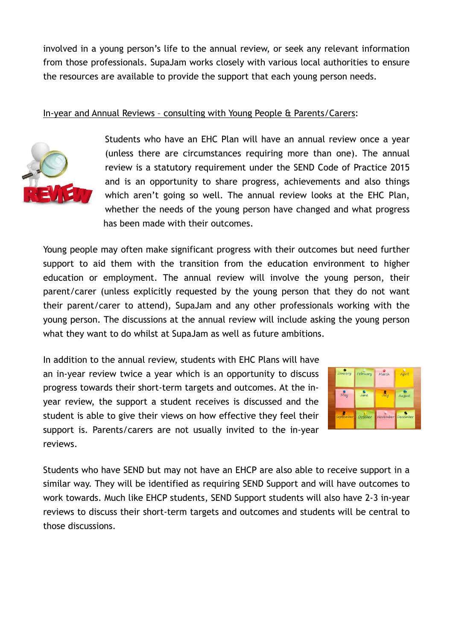involved in a young person's life to the annual review, or seek any relevant information from those professionals. SupaJam works closely with various local authorities to ensure the resources are available to provide the support that each young person needs.

# In-year and Annual Reviews – consulting with Young People & Parents/Carers:



Students who have an EHC Plan will have an annual review once a year (unless there are circumstances requiring more than one). The annual review is a statutory requirement under the SEND Code of Practice 2015 and is an opportunity to share progress, achievements and also things which aren't going so well. The annual review looks at the EHC Plan, whether the needs of the young person have changed and what progress has been made with their outcomes.

Young people may often make significant progress with their outcomes but need further support to aid them with the transition from the education environment to higher education or employment. The annual review will involve the young person, their parent/carer (unless explicitly requested by the young person that they do not want their parent/carer to attend), SupaJam and any other professionals working with the young person. The discussions at the annual review will include asking the young person what they want to do whilst at SupaJam as well as future ambitions.

In addition to the annual review, students with EHC Plans will have an in-year review twice a year which is an opportunity to discuss progress towards their short-term targets and outcomes. At the inyear review, the support a student receives is discussed and the student is able to give their views on how effective they feel their support is. Parents/carers are not usually invited to the in-year reviews.



Students who have SEND but may not have an EHCP are also able to receive support in a similar way. They will be identified as requiring SEND Support and will have outcomes to work towards. Much like EHCP students, SEND Support students will also have 2-3 in-year reviews to discuss their short-term targets and outcomes and students will be central to those discussions.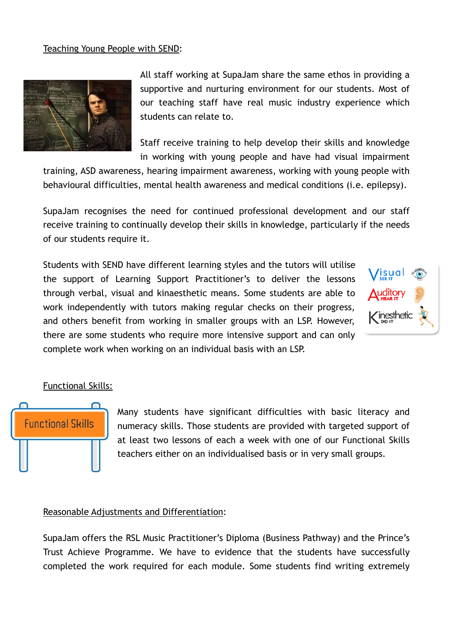### Teaching Young People with SEND:



All staff working at SupaJam share the same ethos in providing a supportive and nurturing environment for our students. Most of our teaching staff have real music industry experience which students can relate to.

Staff receive training to help develop their skills and knowledge in working with young people and have had visual impairment

training, ASD awareness, hearing impairment awareness, working with young people with behavioural difficulties, mental health awareness and medical conditions (i.e. epilepsy).

SupaJam recognises the need for continued professional development and our staff receive training to continually develop their skills in knowledge, particularly if the needs of our students require it.

Students with SEND have different learning styles and the tutors will utilise the support of Learning Support Practitioner's to deliver the lessons through verbal, visual and kinaesthetic means. Some students are able to work independently with tutors making regular checks on their progress, and others benefit from working in smaller groups with an LSP. However, there are some students who require more intensive support and can only complete work when working on an individual basis with an LSP.



#### Functional Skills:



Many students have significant difficulties with basic literacy and numeracy skills. Those students are provided with targeted support of at least two lessons of each a week with one of our Functional Skills teachers either on an individualised basis or in very small groups.

#### Reasonable Adjustments and Differentiation:

SupaJam offers the RSL Music Practitioner's Diploma (Business Pathway) and the Prince's Trust Achieve Programme. We have to evidence that the students have successfully completed the work required for each module. Some students find writing extremely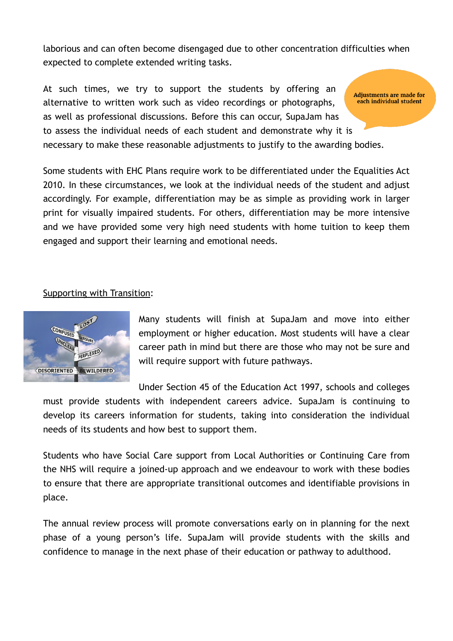laborious and can often become disengaged due to other concentration difficulties when expected to complete extended writing tasks.

At such times, we try to support the students by offering an **Adjustments are made for** each individual student alternative to written work such as video recordings or photographs, as well as professional discussions. Before this can occur, SupaJam has to assess the individual needs of each student and demonstrate why it is necessary to make these reasonable adjustments to justify to the awarding bodies.

Some students with EHC Plans require work to be differentiated under the Equalities Act 2010. In these circumstances, we look at the individual needs of the student and adjust accordingly. For example, differentiation may be as simple as providing work in larger print for visually impaired students. For others, differentiation may be more intensive and we have provided some very high need students with home tuition to keep them engaged and support their learning and emotional needs.

Supporting with Transition:



Many students will finish at SupaJam and move into either employment or higher education. Most students will have a clear career path in mind but there are those who may not be sure and will require support with future pathways.

Under Section 45 of the Education Act 1997, schools and colleges

must provide students with independent careers advice. SupaJam is continuing to develop its careers information for students, taking into consideration the individual needs of its students and how best to support them.

Students who have Social Care support from Local Authorities or Continuing Care from the NHS will require a joined-up approach and we endeavour to work with these bodies to ensure that there are appropriate transitional outcomes and identifiable provisions in place.

The annual review process will promote conversations early on in planning for the next phase of a young person's life. SupaJam will provide students with the skills and confidence to manage in the next phase of their education or pathway to adulthood.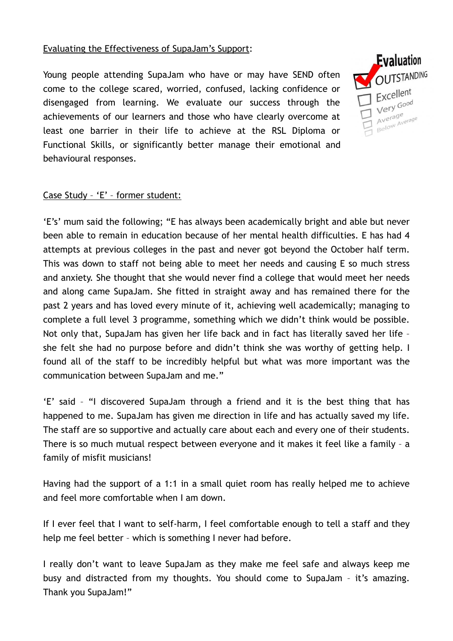# Evaluating the Effectiveness of SupaJam's Support:

Young people attending SupaJam who have or may have SEND often come to the college scared, worried, confused, lacking confidence or disengaged from learning. We evaluate our success through the achievements of our learners and those who have clearly overcome at least one barrier in their life to achieve at the RSL Diploma or Functional Skills, or significantly better manage their emotional and behavioural responses.



## Case Study – 'E' – former student:

'E's' mum said the following; "E has always been academically bright and able but never been able to remain in education because of her mental health difficulties. E has had 4 attempts at previous colleges in the past and never got beyond the October half term. This was down to staff not being able to meet her needs and causing E so much stress and anxiety. She thought that she would never find a college that would meet her needs and along came SupaJam. She fitted in straight away and has remained there for the past 2 years and has loved every minute of it, achieving well academically; managing to complete a full level 3 programme, something which we didn't think would be possible. Not only that, SupaJam has given her life back and in fact has literally saved her life – she felt she had no purpose before and didn't think she was worthy of getting help. I found all of the staff to be incredibly helpful but what was more important was the communication between SupaJam and me."

'E' said – "I discovered SupaJam through a friend and it is the best thing that has happened to me. SupaJam has given me direction in life and has actually saved my life. The staff are so supportive and actually care about each and every one of their students. There is so much mutual respect between everyone and it makes it feel like a family – a family of misfit musicians!

Having had the support of a 1:1 in a small quiet room has really helped me to achieve and feel more comfortable when I am down.

If I ever feel that I want to self-harm, I feel comfortable enough to tell a staff and they help me feel better – which is something I never had before.

I really don't want to leave SupaJam as they make me feel safe and always keep me busy and distracted from my thoughts. You should come to SupaJam – it's amazing. Thank you SupaJam!"